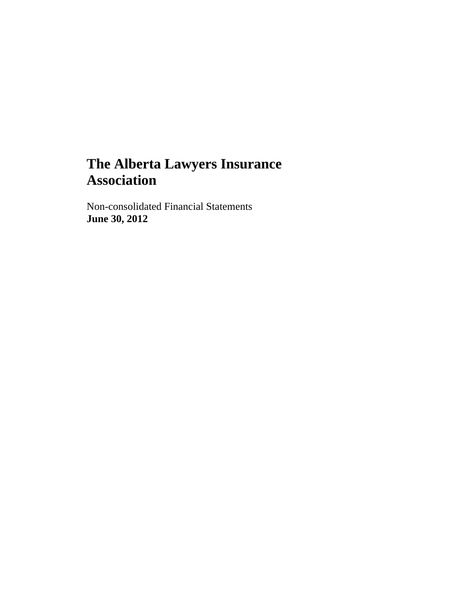Non-consolidated Financial Statements **June 30, 2012**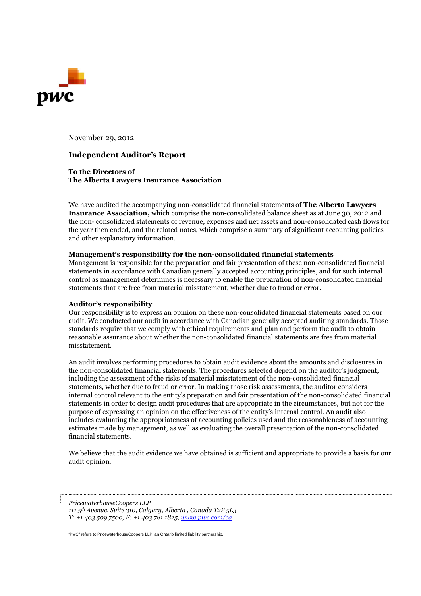

November 29, 2012

#### **Independent Auditor's Report**

**To the Directors of The Alberta Lawyers Insurance Association**

We have audited the accompanying non-consolidated financial statements of **The Alberta Lawyers Insurance Association,** which comprise the non-consolidated balance sheet as at June 30, 2012 and the non- consolidated statements of revenue, expenses and net assets and non-consolidated cash flows for the year then ended, and the related notes, which comprise a summary of significant accounting policies and other explanatory information.

#### **Management's responsibility for the non-consolidated financial statements**

Management is responsible for the preparation and fair presentation of these non-consolidated financial statements in accordance with Canadian generally accepted accounting principles, and for such internal control as management determines is necessary to enable the preparation of non-consolidated financial statements that are free from material misstatement, whether due to fraud or error.

#### **Auditor's responsibility**

Our responsibility is to express an opinion on these non-consolidated financial statements based on our audit. We conducted our audit in accordance with Canadian generally accepted auditing standards. Those standards require that we comply with ethical requirements and plan and perform the audit to obtain reasonable assurance about whether the non-consolidated financial statements are free from material misstatement.

An audit involves performing procedures to obtain audit evidence about the amounts and disclosures in the non-consolidated financial statements. The procedures selected depend on the auditor's judgment, including the assessment of the risks of material misstatement of the non-consolidated financial statements, whether due to fraud or error. In making those risk assessments, the auditor considers internal control relevant to the entity's preparation and fair presentation of the non-consolidated financial statements in order to design audit procedures that are appropriate in the circumstances, but not for the purpose of expressing an opinion on the effectiveness of the entity's internal control. An audit also includes evaluating the appropriateness of accounting policies used and the reasonableness of accounting estimates made by management, as well as evaluating the overall presentation of the non-consolidated financial statements.

We believe that the audit evidence we have obtained is sufficient and appropriate to provide a basis for our audit opinion.

*PricewaterhouseCoopers LLP 111 5th Avenue, Suite 310, Calgary, Alberta , Canada T2P 5L3 T: +1 403 509 7500, F: +1 403 781 1825, www.pwc.com/ca*

"PwC" refers to PricewaterhouseCoopers LLP, an Ontario limited liability partnership.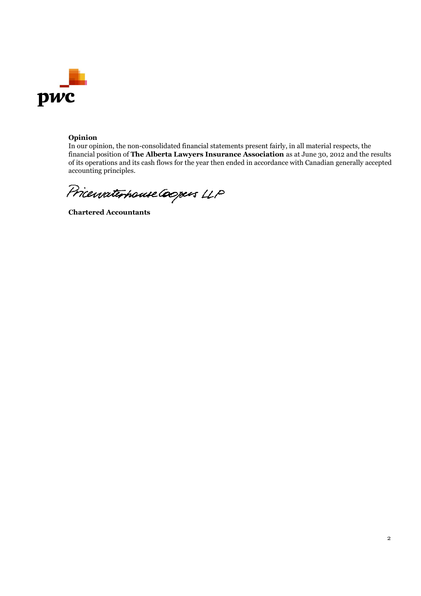

## **Opinion**

In our opinion, the non-consolidated financial statements present fairly, in all material respects, the financial position of **The Alberta Lawyers Insurance Association** as at June 30, 2012 and the results of its operations and its cash flows for the year then ended in accordance with Canadian generally accepted accounting principles.

Pricewaterhouse Coopers LLP

**Chartered Accountants**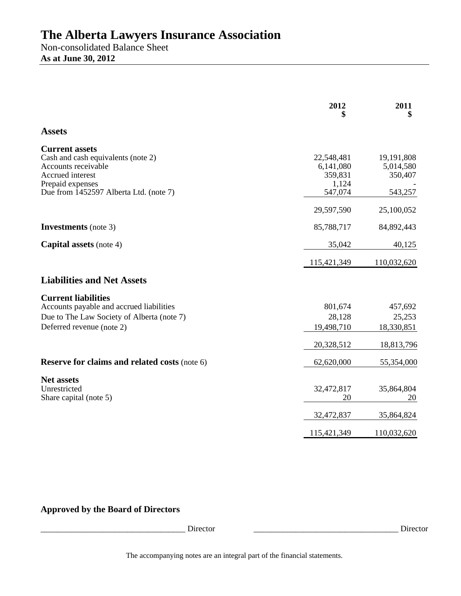Non-consolidated Balance Sheet **As at June 30, 2012** 

|                                                                                                                                                                      | 2012                                                   | 2011<br>\$                                    |
|----------------------------------------------------------------------------------------------------------------------------------------------------------------------|--------------------------------------------------------|-----------------------------------------------|
| <b>Assets</b>                                                                                                                                                        |                                                        |                                               |
| <b>Current assets</b><br>Cash and cash equivalents (note 2)<br>Accounts receivable<br>Accrued interest<br>Prepaid expenses<br>Due from 1452597 Alberta Ltd. (note 7) | 22,548,481<br>6,141,080<br>359,831<br>1,124<br>547,074 | 19,191,808<br>5,014,580<br>350,407<br>543,257 |
|                                                                                                                                                                      | 29,597,590                                             | 25,100,052                                    |
| <b>Investments</b> (note 3)                                                                                                                                          | 85,788,717                                             | 84,892,443                                    |
| <b>Capital assets</b> (note 4)                                                                                                                                       | 35,042                                                 | 40,125                                        |
|                                                                                                                                                                      | 115,421,349                                            | 110,032,620                                   |
| <b>Liabilities and Net Assets</b>                                                                                                                                    |                                                        |                                               |
| <b>Current liabilities</b><br>Accounts payable and accrued liabilities<br>Due to The Law Society of Alberta (note 7)<br>Deferred revenue (note 2)                    | 801,674<br>28,128<br>19,498,710                        | 457,692<br>25,253<br>18,330,851               |
| <b>Reserve for claims and related costs (note 6)</b>                                                                                                                 | 20,328,512<br>62,620,000                               | 18,813,796<br>55,354,000                      |
| <b>Net assets</b><br>Unrestricted<br>Share capital (note 5)                                                                                                          | 32,472,817<br>20                                       | 35,864,804<br>20                              |
|                                                                                                                                                                      | 32,472,837                                             | 35,864,824                                    |
|                                                                                                                                                                      | 115,421,349                                            | 110,032,620                                   |

## **Approved by the Board of Directors**

\_\_\_\_\_\_\_\_\_\_\_\_\_\_\_\_\_\_\_\_\_\_\_\_\_\_\_\_\_\_\_\_\_\_\_ Director \_\_\_\_\_\_\_\_\_\_\_\_\_\_\_\_\_\_\_\_\_\_\_\_\_\_\_\_\_\_\_\_\_\_\_ Director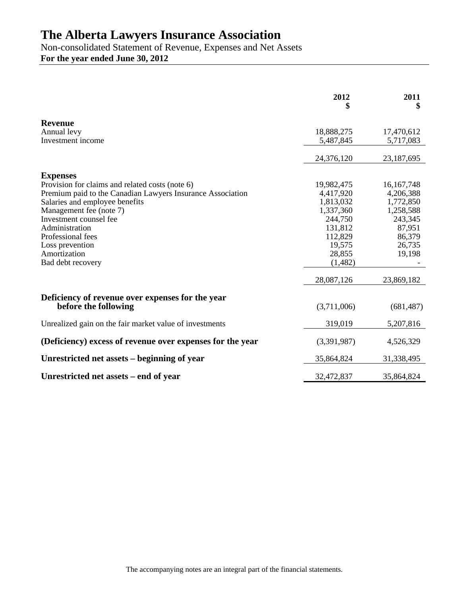Non-consolidated Statement of Revenue, Expenses and Net Assets **For the year ended June 30, 2012** 

|                                                                          | 2012<br>\$        | 2011<br>\$       |
|--------------------------------------------------------------------------|-------------------|------------------|
| <b>Revenue</b>                                                           |                   |                  |
| Annual levy                                                              | 18,888,275        | 17,470,612       |
| Investment income                                                        | 5,487,845         | 5,717,083        |
|                                                                          | 24,376,120        | 23,187,695       |
| <b>Expenses</b>                                                          |                   |                  |
| Provision for claims and related costs (note 6)                          | 19,982,475        | 16, 167, 748     |
| Premium paid to the Canadian Lawyers Insurance Association               | 4,417,920         | 4,206,388        |
| Salaries and employee benefits                                           | 1,813,032         | 1,772,850        |
| Management fee (note 7)                                                  | 1,337,360         | 1,258,588        |
| Investment counsel fee                                                   | 244,750           | 243,345          |
| Administration                                                           | 131,812           | 87,951           |
| Professional fees<br>Loss prevention                                     | 112,829<br>19,575 | 86,379<br>26,735 |
| Amortization                                                             | 28,855            | 19,198           |
| Bad debt recovery                                                        | (1,482)           |                  |
|                                                                          | 28,087,126        | 23,869,182       |
|                                                                          |                   |                  |
| Deficiency of revenue over expenses for the year<br>before the following | (3,711,006)       | (681, 487)       |
| Unrealized gain on the fair market value of investments                  | 319,019           | 5,207,816        |
| (Deficiency) excess of revenue over expenses for the year                | (3,391,987)       | 4,526,329        |
| Unrestricted net assets – beginning of year                              | 35,864,824        | 31,338,495       |
| Unrestricted net assets – end of year                                    | 32,472,837        | 35,864,824       |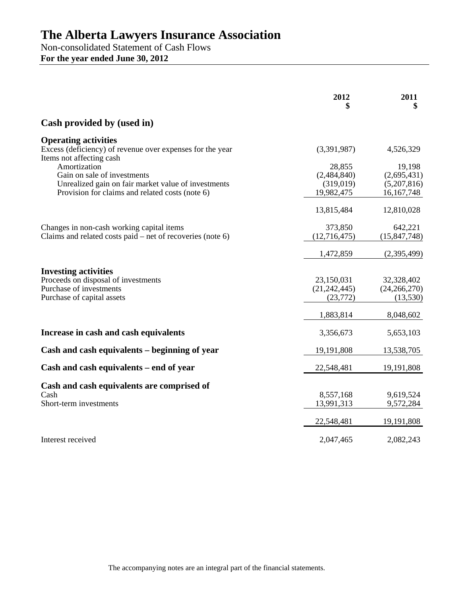Non-consolidated Statement of Cash Flows **For the year ended June 30, 2012** 

|                                                                                                                             | 2012                                      | 2011<br>\$                               |
|-----------------------------------------------------------------------------------------------------------------------------|-------------------------------------------|------------------------------------------|
| Cash provided by (used in)                                                                                                  |                                           |                                          |
| <b>Operating activities</b><br>Excess (deficiency) of revenue over expenses for the year<br>Items not affecting cash        | (3,391,987)                               | 4,526,329                                |
| Amortization<br>Gain on sale of investments                                                                                 | 28,855<br>(2,484,840)                     | 19,198<br>(2,695,431)                    |
| Unrealized gain on fair market value of investments<br>Provision for claims and related costs (note 6)                      | (319,019)<br>19,982,475                   | (5,207,816)<br>16, 167, 748              |
|                                                                                                                             | 13,815,484                                | 12,810,028                               |
| Changes in non-cash working capital items<br>Claims and related costs paid – net of recoveries (note $6$ )                  | 373,850<br>(12,716,475)                   | 642,221<br>(15, 847, 748)                |
|                                                                                                                             | 1,472,859                                 | (2,395,499)                              |
| <b>Investing activities</b><br>Proceeds on disposal of investments<br>Purchase of investments<br>Purchase of capital assets | 23,150,031<br>(21, 242, 445)<br>(23, 772) | 32,328,402<br>(24, 266, 270)<br>(13,530) |
|                                                                                                                             | 1,883,814                                 | 8,048,602                                |
| Increase in cash and cash equivalents                                                                                       | 3,356,673                                 | 5,653,103                                |
| Cash and cash equivalents – beginning of year                                                                               | 19,191,808                                | 13,538,705                               |
| Cash and cash equivalents – end of year                                                                                     | 22,548,481                                | 19, 191, 808                             |
| Cash and cash equivalents are comprised of<br>Cash<br>Short-term investments                                                | 8,557,168<br>13,991,313                   | 9,619,524<br>9,572,284                   |
|                                                                                                                             | 22,548,481                                | 19, 191, 808                             |
| Interest received                                                                                                           | 2,047,465                                 | 2,082,243                                |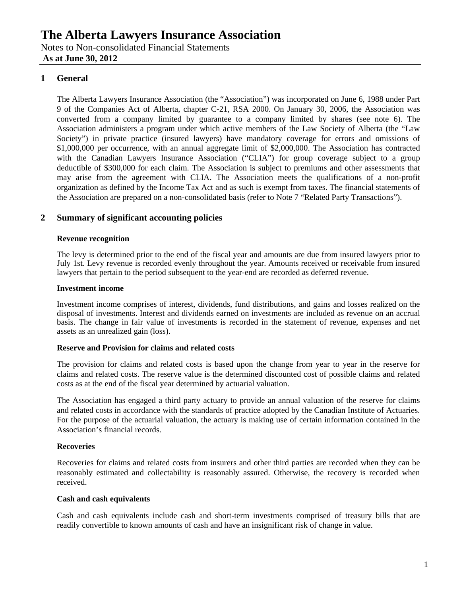Notes to Non-consolidated Financial Statements  **As at June 30, 2012** 

## **1 General**

The Alberta Lawyers Insurance Association (the "Association") was incorporated on June 6, 1988 under Part 9 of the Companies Act of Alberta, chapter C-21, RSA 2000. On January 30, 2006, the Association was converted from a company limited by guarantee to a company limited by shares (see note 6). The Association administers a program under which active members of the Law Society of Alberta (the "Law Society") in private practice (insured lawyers) have mandatory coverage for errors and omissions of \$1,000,000 per occurrence, with an annual aggregate limit of \$2,000,000. The Association has contracted with the Canadian Lawyers Insurance Association ("CLIA") for group coverage subject to a group deductible of \$300,000 for each claim. The Association is subject to premiums and other assessments that may arise from the agreement with CLIA. The Association meets the qualifications of a non-profit organization as defined by the Income Tax Act and as such is exempt from taxes. The financial statements of the Association are prepared on a non-consolidated basis (refer to Note 7 "Related Party Transactions").

## **2 Summary of significant accounting policies**

## **Revenue recognition**

The levy is determined prior to the end of the fiscal year and amounts are due from insured lawyers prior to July 1st. Levy revenue is recorded evenly throughout the year. Amounts received or receivable from insured lawyers that pertain to the period subsequent to the year-end are recorded as deferred revenue.

## **Investment income**

Investment income comprises of interest, dividends, fund distributions, and gains and losses realized on the disposal of investments. Interest and dividends earned on investments are included as revenue on an accrual basis. The change in fair value of investments is recorded in the statement of revenue, expenses and net assets as an unrealized gain (loss).

#### **Reserve and Provision for claims and related costs**

The provision for claims and related costs is based upon the change from year to year in the reserve for claims and related costs. The reserve value is the determined discounted cost of possible claims and related costs as at the end of the fiscal year determined by actuarial valuation.

The Association has engaged a third party actuary to provide an annual valuation of the reserve for claims and related costs in accordance with the standards of practice adopted by the Canadian Institute of Actuaries. For the purpose of the actuarial valuation, the actuary is making use of certain information contained in the Association's financial records.

## **Recoveries**

Recoveries for claims and related costs from insurers and other third parties are recorded when they can be reasonably estimated and collectability is reasonably assured. Otherwise, the recovery is recorded when received.

#### **Cash and cash equivalents**

Cash and cash equivalents include cash and short-term investments comprised of treasury bills that are readily convertible to known amounts of cash and have an insignificant risk of change in value.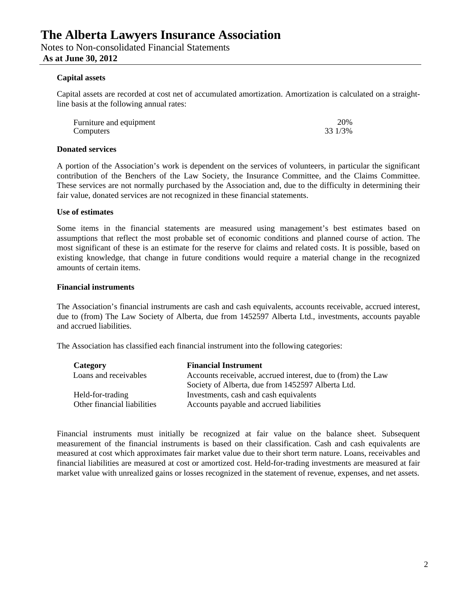## **As at June 30, 2012**

#### **Capital assets**

Capital assets are recorded at cost net of accumulated amortization. Amortization is calculated on a straightline basis at the following annual rates:

| Furniture and equipment | 20%     |
|-------------------------|---------|
| Computers               | 33 1/3% |

#### **Donated services**

A portion of the Association's work is dependent on the services of volunteers, in particular the significant contribution of the Benchers of the Law Society, the Insurance Committee, and the Claims Committee. These services are not normally purchased by the Association and, due to the difficulty in determining their fair value, donated services are not recognized in these financial statements.

#### **Use of estimates**

Some items in the financial statements are measured using management's best estimates based on assumptions that reflect the most probable set of economic conditions and planned course of action. The most significant of these is an estimate for the reserve for claims and related costs. It is possible, based on existing knowledge, that change in future conditions would require a material change in the recognized amounts of certain items.

#### **Financial instruments**

The Association's financial instruments are cash and cash equivalents, accounts receivable, accrued interest, due to (from) The Law Society of Alberta, due from 1452597 Alberta Ltd., investments, accounts payable and accrued liabilities.

The Association has classified each financial instrument into the following categories:

| Category                    | <b>Financial Instrument</b>                                  |
|-----------------------------|--------------------------------------------------------------|
| Loans and receivables       | Accounts receivable, accrued interest, due to (from) the Law |
|                             | Society of Alberta, due from 1452597 Alberta Ltd.            |
| Held-for-trading            | Investments, cash and cash equivalents                       |
| Other financial liabilities | Accounts payable and accrued liabilities                     |

Financial instruments must initially be recognized at fair value on the balance sheet. Subsequent measurement of the financial instruments is based on their classification. Cash and cash equivalents are measured at cost which approximates fair market value due to their short term nature. Loans, receivables and financial liabilities are measured at cost or amortized cost. Held-for-trading investments are measured at fair market value with unrealized gains or losses recognized in the statement of revenue, expenses, and net assets.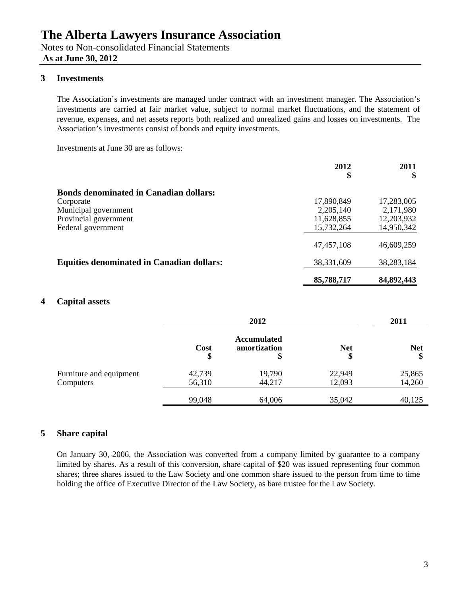Notes to Non-consolidated Financial Statements  **As at June 30, 2012** 

## **3 Investments**

The Association's investments are managed under contract with an investment manager. The Association's investments are carried at fair market value, subject to normal market fluctuations, and the statement of revenue, expenses, and net assets reports both realized and unrealized gains and losses on investments. The Association's investments consist of bonds and equity investments.

Investments at June 30 are as follows:

|                                                  | 2012<br>\$   | 2011         |
|--------------------------------------------------|--------------|--------------|
| <b>Bonds denominated in Canadian dollars:</b>    |              |              |
| Corporate                                        | 17,890,849   | 17,283,005   |
| Municipal government                             | 2,205,140    | 2,171,980    |
| Provincial government                            | 11,628,855   | 12,203,932   |
| Federal government                               | 15,732,264   | 14,950,342   |
|                                                  | 47, 457, 108 | 46,609,259   |
| <b>Equities denominated in Canadian dollars:</b> | 38,331,609   | 38, 283, 184 |
|                                                  | 85,788,717   | 84,892,443   |

## **4 Capital assets**

|                                      | 2012             |                                          |                  | 2011             |
|--------------------------------------|------------------|------------------------------------------|------------------|------------------|
|                                      | Cost<br>\$       | <b>Accumulated</b><br>amortization<br>\$ | <b>Net</b><br>\$ | <b>Net</b><br>\$ |
| Furniture and equipment<br>Computers | 42,739<br>56,310 | 19,790<br>44,217                         | 22,949<br>12,093 | 25,865<br>14,260 |
|                                      | 99,048           | 64,006                                   | 35,042           | 40,125           |

## **5 Share capital**

On January 30, 2006, the Association was converted from a company limited by guarantee to a company limited by shares. As a result of this conversion, share capital of \$20 was issued representing four common shares; three shares issued to the Law Society and one common share issued to the person from time to time holding the office of Executive Director of the Law Society, as bare trustee for the Law Society.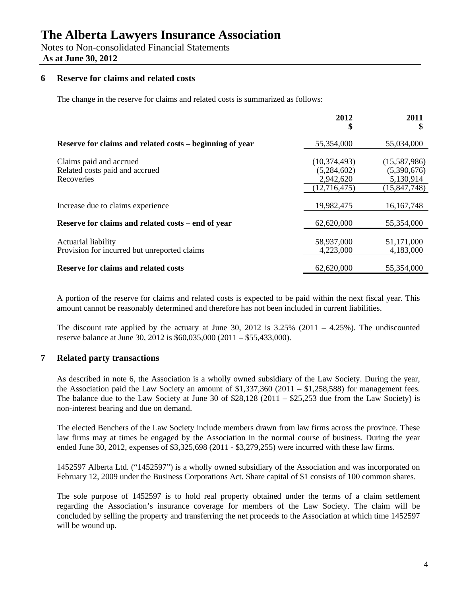Notes to Non-consolidated Financial Statements  **As at June 30, 2012** 

## **6 Reserve for claims and related costs**

The change in the reserve for claims and related costs is summarized as follows:

|                                                                         | 2012                                                       | 2011                                                       |
|-------------------------------------------------------------------------|------------------------------------------------------------|------------------------------------------------------------|
| Reserve for claims and related costs – beginning of year                | 55,354,000                                                 | 55,034,000                                                 |
| Claims paid and accrued<br>Related costs paid and accrued<br>Recoveries | (10, 374, 493)<br>(5,284,602)<br>2,942,620<br>(12,716,475) | (15,587,986)<br>(5,390,676)<br>5,130,914<br>(15, 847, 748) |
| Increase due to claims experience                                       | 19,982,475                                                 | 16, 167, 748                                               |
| Reserve for claims and related costs – end of year                      | 62,620,000                                                 | 55,354,000                                                 |
| Actuarial liability<br>Provision for incurred but unreported claims     | 58,937,000<br>4,223,000                                    | 51,171,000<br>4,183,000                                    |
| <b>Reserve for claims and related costs</b>                             | 62,620,000                                                 | 55,354,000                                                 |

A portion of the reserve for claims and related costs is expected to be paid within the next fiscal year. This amount cannot be reasonably determined and therefore has not been included in current liabilities.

The discount rate applied by the actuary at June 30, 2012 is  $3.25\%$  (2011 – 4.25%). The undiscounted reserve balance at June 30, 2012 is \$60,035,000 (2011 – \$55,433,000).

## **7 Related party transactions**

As described in note 6, the Association is a wholly owned subsidiary of the Law Society. During the year, the Association paid the Law Society an amount of  $$1,337,360$  (2011 –  $$1,258,588$ ) for management fees. The balance due to the Law Society at June 30 of \$28,128 (2011 – \$25,253 due from the Law Society) is non-interest bearing and due on demand.

The elected Benchers of the Law Society include members drawn from law firms across the province. These law firms may at times be engaged by the Association in the normal course of business. During the year ended June 30, 2012, expenses of \$3,325,698 (2011 - \$3,279,255) were incurred with these law firms.

1452597 Alberta Ltd. ("1452597") is a wholly owned subsidiary of the Association and was incorporated on February 12, 2009 under the Business Corporations Act. Share capital of \$1 consists of 100 common shares.

The sole purpose of 1452597 is to hold real property obtained under the terms of a claim settlement regarding the Association's insurance coverage for members of the Law Society. The claim will be concluded by selling the property and transferring the net proceeds to the Association at which time 1452597 will be wound up.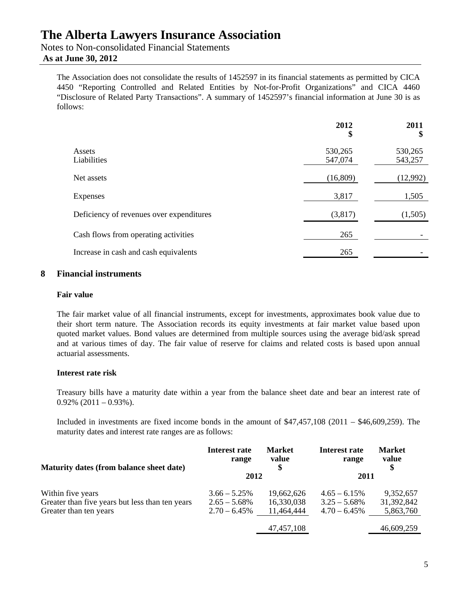Notes to Non-consolidated Financial Statements  **As at June 30, 2012** 

The Association does not consolidate the results of 1452597 in its financial statements as permitted by CICA 4450 "Reporting Controlled and Related Entities by Not-for-Profit Organizations" and CICA 4460 "Disclosure of Related Party Transactions". A summary of 1452597's financial information at June 30 is as follows:

|                                          | 2012<br>\$         | 2011<br>\$         |
|------------------------------------------|--------------------|--------------------|
| Assets<br>Liabilities                    | 530,265<br>547,074 | 530,265<br>543,257 |
| Net assets                               | (16, 809)          | (12,992)           |
| Expenses                                 | 3,817              | 1,505              |
| Deficiency of revenues over expenditures | (3,817)            | (1,505)            |
| Cash flows from operating activities     | 265                |                    |
| Increase in cash and cash equivalents    | 265                |                    |

## **8 Financial instruments**

#### **Fair value**

The fair market value of all financial instruments, except for investments, approximates book value due to their short term nature. The Association records its equity investments at fair market value based upon quoted market values. Bond values are determined from multiple sources using the average bid/ask spread and at various times of day. The fair value of reserve for claims and related costs is based upon annual actuarial assessments.

#### **Interest rate risk**

Treasury bills have a maturity date within a year from the balance sheet date and bear an interest rate of  $0.92\%$  (2011 – 0.93%).

Included in investments are fixed income bonds in the amount of \$47,457,108 (2011 – \$46,609,259). The maturity dates and interest rate ranges are as follows:

| Maturity dates (from balance sheet date)        | Interest rate<br>range | <b>Market</b><br>value | Interest rate<br>range | <b>Market</b><br>value |
|-------------------------------------------------|------------------------|------------------------|------------------------|------------------------|
|                                                 | 2012                   |                        | 2011                   |                        |
| Within five years                               | $3.66 - 5.25\%$        | 19,662,626             | $4.65 - 6.15\%$        | 9,352,657              |
| Greater than five years but less than ten years | $2.65 - 5.68\%$        | 16,330,038             | $3.25 - 5.68\%$        | 31,392,842             |
| Greater than ten years                          | $2.70 - 6.45\%$        | 11,464,444             | $4.70 - 6.45\%$        | 5,863,760              |
|                                                 |                        | 47, 457, 108           |                        | 46,609,259             |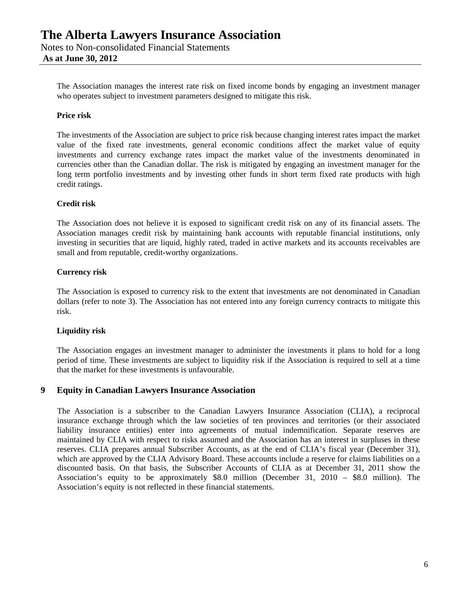The Association manages the interest rate risk on fixed income bonds by engaging an investment manager who operates subject to investment parameters designed to mitigate this risk.

## **Price risk**

The investments of the Association are subject to price risk because changing interest rates impact the market value of the fixed rate investments, general economic conditions affect the market value of equity investments and currency exchange rates impact the market value of the investments denominated in currencies other than the Canadian dollar. The risk is mitigated by engaging an investment manager for the long term portfolio investments and by investing other funds in short term fixed rate products with high credit ratings.

## **Credit risk**

The Association does not believe it is exposed to significant credit risk on any of its financial assets. The Association manages credit risk by maintaining bank accounts with reputable financial institutions, only investing in securities that are liquid, highly rated, traded in active markets and its accounts receivables are small and from reputable, credit-worthy organizations.

## **Currency risk**

The Association is exposed to currency risk to the extent that investments are not denominated in Canadian dollars (refer to note 3). The Association has not entered into any foreign currency contracts to mitigate this risk.

## **Liquidity risk**

The Association engages an investment manager to administer the investments it plans to hold for a long period of time. These investments are subject to liquidity risk if the Association is required to sell at a time that the market for these investments is unfavourable.

## **9 Equity in Canadian Lawyers Insurance Association**

The Association is a subscriber to the Canadian Lawyers Insurance Association (CLIA), a reciprocal insurance exchange through which the law societies of ten provinces and territories (or their associated liability insurance entities) enter into agreements of mutual indemnification. Separate reserves are maintained by CLIA with respect to risks assumed and the Association has an interest in surpluses in these reserves. CLIA prepares annual Subscriber Accounts, as at the end of CLIA's fiscal year (December 31), which are approved by the CLIA Advisory Board. These accounts include a reserve for claims liabilities on a discounted basis. On that basis, the Subscriber Accounts of CLIA as at December 31, 2011 show the Association's equity to be approximately \$8.0 million (December 31, 2010 – \$8.0 million). The Association's equity is not reflected in these financial statements.